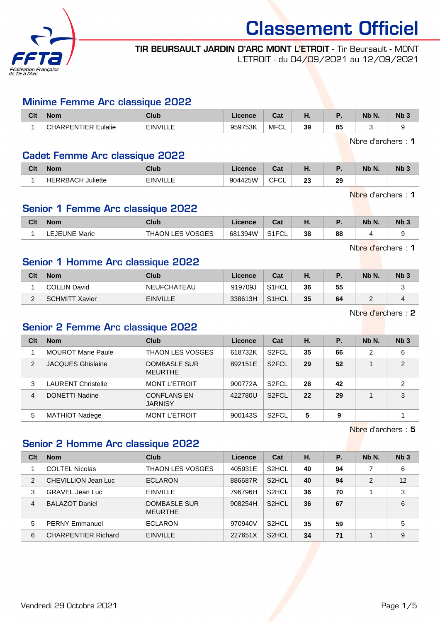

#### TIR BEURSAULT JARDIN D'ARC MONT L'ETROIT - Tir Beursault - MONT L'ETROIT - du 04/09/2021 au 12/09/2021

#### Minime Femme Arc classique 2022

| Clt | <b>Nom</b>          | Club          | .icence | ◝⌒∔<br>υαι  | .  |          | Nb N. | Nb <sub>3</sub> |
|-----|---------------------|---------------|---------|-------------|----|----------|-------|-----------------|
|     | CHARPENTIER Eulalie | <b>FINVIL</b> | 959753K | <b>MFCL</b> | 39 | 0E<br>oa |       |                 |

Nbre d'archers : 1

#### Cadet Femme Arc classique 2022

| Clt | <b>Nom</b>                          | Club   | <b>Licence</b> | ◝ឹ<br>υαι                     | . .       |    | Nb N. | Nb <sub>3</sub> |
|-----|-------------------------------------|--------|----------------|-------------------------------|-----------|----|-------|-----------------|
|     | <b>IHERRBACH</b><br><b>Juliette</b> | ⊏INVII | 904425W        | $\sim$ $\sim$<br>-<br>◡∟<br>◡ | c.<br>- 9 | 29 |       |                 |

Nbre d'archers : 1

Nbre d'archers : 1

## Senior 1 Femme Arc classique 2022

| Clt | <b>Nom</b>           | Club                    | Licence | Cat                | п. |    | Nb N. | Nb <sub>3</sub> |
|-----|----------------------|-------------------------|---------|--------------------|----|----|-------|-----------------|
|     | <b>LEJEUNE Marie</b> | <b>THAON LES VOSGES</b> | 681394W | S <sub>1</sub> FCL | 38 | 88 |       |                 |

Senior 1 Homme Arc classique 2022

| Clt | <b>Nom</b>     | Club               | Licence | Cat     | Н. |    | Nb N. | Nb <sub>3</sub> |
|-----|----------------|--------------------|---------|---------|----|----|-------|-----------------|
|     | COLLIN David   | <b>NEUFCHATEAU</b> | 919709J | ' S1HCL | 36 | 55 |       | u               |
| -   | SCHMITT Xavier | <b>EINVILLE</b>    | 338613H | ' S1HCL | 35 | 64 | -     |                 |

Nbre d'archers : 2

#### Senior 2 Femme Arc classique 2022

| Clt            | <b>Nom</b>                | Club                                 | Licence | Cat                | Н. | <b>P.</b> | Nb N.          | Nb <sub>3</sub> |
|----------------|---------------------------|--------------------------------------|---------|--------------------|----|-----------|----------------|-----------------|
|                | MOUROT Marie Paule        | <b>THAON LES VOSGES</b>              | 618732K | S <sub>2</sub> FCL | 35 | 66        | $\overline{2}$ | 6               |
| $\overline{2}$ | <b>JACQUES Ghislaine</b>  | DOMBASLE SUR<br><b>MEURTHE</b>       | 892151E | S <sub>2</sub> FCL | 29 | 52        |                | $\mathcal{P}$   |
| 3              | <b>LAURENT Christelle</b> | <b>MONT L'ETROIT</b>                 | 900772A | S <sub>2</sub> FCL | 28 | 42        |                | 2               |
| 4              | <b>DONETTI Nadine</b>     | <b>CONFLANS EN</b><br><b>JARNISY</b> | 422780U | S <sub>2</sub> FCL | 22 | 29        |                | 3               |
| 5              | <b>MATHIOT Nadege</b>     | <b>MONT L'ETROIT</b>                 | 900143S | S <sub>2</sub> FCL | 5  | 9         |                |                 |

Nbre d'archers : 5

# Senior 2 Homme Arc classique 2022

| Clt            | <b>Nom</b>                 | Club                                  | Licence | Cat                | Η. | Ρ. | Nb N. | Nb <sub>3</sub> |
|----------------|----------------------------|---------------------------------------|---------|--------------------|----|----|-------|-----------------|
|                | <b>COLTEL Nicolas</b>      | <b>THAON LES VOSGES</b>               | 405931E | S <sub>2</sub> HCL | 40 | 94 |       | 6               |
| 2              | CHEVILLION Jean Luc        | <b>ECLARON</b>                        | 886687R | S <sub>2</sub> HCL | 40 | 94 | 2     | 12              |
| 3              | <b>GRAVEL Jean Luc</b>     | <b>EINVILLE</b>                       | 796796H | S <sub>2</sub> HCL | 36 | 70 |       | 3               |
| $\overline{4}$ | BALAZOT Daniel             | <b>DOMBASLE SUR</b><br><b>MEURTHE</b> | 908254H | S <sub>2</sub> HCL | 36 | 67 |       | 6               |
| 5              | <b>PERNY Emmanuel</b>      | <b>ECLARON</b>                        | 970940V | S <sub>2</sub> HCL | 35 | 59 |       | 5               |
| 6              | <b>CHARPENTIER Richard</b> | <b>EINVILLE</b>                       | 227651X | S <sub>2</sub> HCL | 34 | 71 |       | 9               |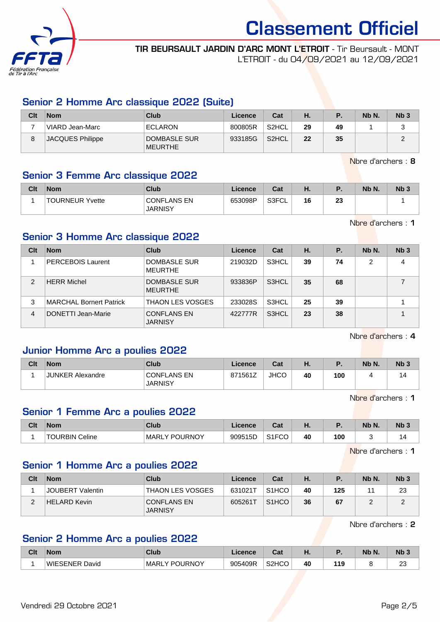

#### TIR BEURSAULT JARDIN D'ARC MONT L'ETROIT - Tir Beursault - MONT L'ETROIT - du 04/09/2021 au 12/09/2021

# Senior 2 Homme Arc classique 2022 (Suite)

| Clt | <b>Nom</b>       | Club                    | Licence | Cat                | Ъ. | Р. | Nb N. | N <sub>b</sub> 3 |
|-----|------------------|-------------------------|---------|--------------------|----|----|-------|------------------|
|     | VIARD Jean-Marc  | ECLARON                 | 800805R | S <sub>2</sub> HCL | 29 | 49 |       | ບ                |
|     | JACQUES Philippe | DOMBASLE SUR<br>MEURTHE | 933185G | S <sub>2</sub> HCL | 22 | 35 |       |                  |

Nbre d'archers : 8

# Senior 3 Femme Arc classique 2022

| Clt | <b>Nom</b>             | Club                                 | Licence | Cat     | п. |          | Nb N. | Nb <sub>3</sub> |
|-----|------------------------|--------------------------------------|---------|---------|----|----------|-------|-----------------|
|     | <b>TOURNEUR Yvette</b> | <b>CONFLANS EN</b><br><b>JARNISY</b> | 653098P | ` S3FCL | 16 | າາ<br>دے |       |                 |

Nbre d'archers : 1

# Senior 3 Homme Arc classique 2022

| Clt | <b>Nom</b>                     | Club                                 | Licence | Cat                | Н. | Ρ. | Nb N. | Nb <sub>3</sub> |
|-----|--------------------------------|--------------------------------------|---------|--------------------|----|----|-------|-----------------|
|     | <b>PERCEBOIS Laurent</b>       | DOMBASLE SUR<br><b>MEURTHE</b>       | 219032D | S3HCL              | 39 | 74 | 2     | 4               |
| 2   | <b>HERR Michel</b>             | DOMBASLE SUR<br><b>MEURTHE</b>       | 933836P | S <sub>3</sub> HCL | 35 | 68 |       |                 |
| 3   | <b>MARCHAL Bornert Patrick</b> | <b>THAON LES VOSGES</b>              | 233028S | S3HCL              | 25 | 39 |       |                 |
| 4   | DONETTI Jean-Marie             | <b>CONFLANS EN</b><br><b>JARNISY</b> | 422777R | S <sub>3</sub> HCL | 23 | 38 |       |                 |

Nbre d'archers : 4

## Junior Homme Arc a poulies 2022

| Clt | <b>Nom</b>       | Club                                 | Licence | Cat         | п. |     | Nb N. | Nb <sub>3</sub> |
|-----|------------------|--------------------------------------|---------|-------------|----|-----|-------|-----------------|
|     | JUNKER Alexandre | <b>CONFLANS EN</b><br><b>JARNISY</b> | 871561Z | <b>JHCO</b> | 40 | 100 |       | 14              |

Nbre d'archers : 1

#### Senior 1 Femme Arc a poulies 2022

| Clt | <b>Nom</b>            | Club             | .icence | $\sim$<br>vau        | ND. |     | Nb N. | N <sub>b</sub> 3 |
|-----|-----------------------|------------------|---------|----------------------|-----|-----|-------|------------------|
|     | <b>TOURBIN Celine</b> | POURNOY<br>MARL' | 909515D | 0.100<br>UL<br>ا ۱ ت | 40  | 100 |       | . 4              |

Nbre d'archers : 1

#### Senior 1 Homme Arc a poulies 2022

| Clt | <b>Nom</b>              | Club                                 | Licence | Cat                | Н. | Р.  | Nb N. | Nb <sub>3</sub> |
|-----|-------------------------|--------------------------------------|---------|--------------------|----|-----|-------|-----------------|
|     | <b>JOUBERT Valentin</b> | <b>THAON LES VOSGES</b>              | 631021T | S <sub>1</sub> HCO | 40 | 125 |       | 23              |
|     | ∣HELARD Kevin           | <b>CONFLANS EN</b><br><b>JARNISY</b> | 605261T | S <sub>1</sub> HCO | 36 | 67  |       |                 |

Nbre d'archers : 2

# Senior 2 Homme Arc a poulies 2022

| Clt | <b>Nom</b>               | Club                  | $\blacksquare$ cence    | r~<br>ual | .  |                    | <b>Nb</b><br>N. | N <sub>b</sub> 3          |
|-----|--------------------------|-----------------------|-------------------------|-----------|----|--------------------|-----------------|---------------------------|
|     | <b>WIESENER</b><br>David | OURNOY<br>'MARL<br>D∩ | $Q0$ $R0$ $Q0$<br>. וכי | S2HCO     | 40 | 110<br><u> 1 J</u> | ີ               | n <sub>n</sub><br>∠<br>__ |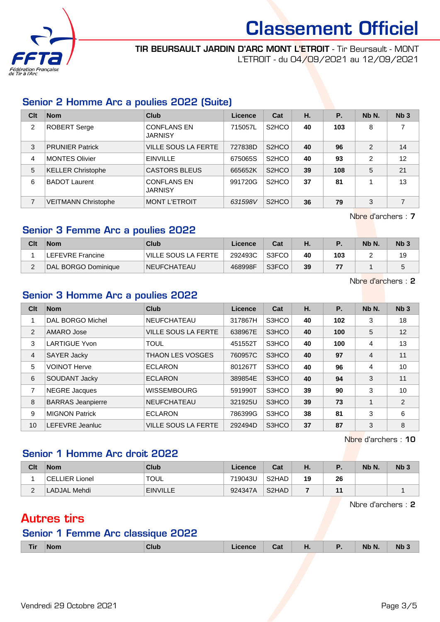

#### TIR BEURSAULT JARDIN D'ARC MONT L'ETROIT - Tir Beursault - MONT L'ETROIT - du 04/09/2021 au 12/09/2021

## Senior 2 Homme Arc a poulies 2022 (Suite)

| Clt            | <b>Nom</b>                 | <b>Club</b>                          | <b>Licence</b> | Cat                            | Η. | <b>P.</b> | Nb N. | Nb <sub>3</sub> |
|----------------|----------------------------|--------------------------------------|----------------|--------------------------------|----|-----------|-------|-----------------|
| $\overline{2}$ | ROBERT Serge               | <b>CONFLANS EN</b><br><b>JARNISY</b> | 715057L        | S <sub>2</sub> H <sub>CO</sub> | 40 | 103       | 8     | 7               |
| 3              | <b>PRUNIER Patrick</b>     | <b>VILLE SOUS LA FERTE</b>           | 727838D        | S <sub>2</sub> HCO             | 40 | 96        | 2     | 14              |
| 4              | <b>MONTES Olivier</b>      | <b>EINVILLE</b>                      | 675065S        | S <sub>2</sub> H <sub>CO</sub> | 40 | 93        | 2     | 12              |
| 5              | <b>KELLER Christophe</b>   | <b>CASTORS BLEUS</b>                 | 665652K        | S <sub>2</sub> HCO             | 39 | 108       | 5     | 21              |
| 6              | <b>BADOT Laurent</b>       | <b>CONFLANS EN</b><br><b>JARNISY</b> | 991720G        | S <sub>2</sub> HCO             | 37 | 81        |       | 13              |
| 7              | <b>VEITMANN Christophe</b> | <b>MONT L'ETROIT</b>                 | 631598V        | S <sub>2</sub> HCO             | 36 | 79        | 3     | 7               |

Nbre d'archers : 7

#### Senior 3 Femme Arc a poulies 2022

| Clt | <b>Nom</b>          | Club                | Licence | Cat   | Ъ. |     | Nb N. | Nb <sub>3</sub> |
|-----|---------------------|---------------------|---------|-------|----|-----|-------|-----------------|
|     | LEFEVRE Francine    | VILLE SOUS LA FERTE | 292493C | S3FCO | 40 | 103 |       | 19              |
|     | DAL BORGO Dominique | <b>NEUFCHATEAU</b>  | 468998F | S3FCO | 39 |     |       |                 |

Nbre d'archers : 2

## Senior 3 Homme Arc a poulies 2022

| Clt | <b>Nom</b>               | <b>Club</b>                | <b>Licence</b> | Cat   | Η. | Ρ.  | Nb N.          | Nb <sub>3</sub> |
|-----|--------------------------|----------------------------|----------------|-------|----|-----|----------------|-----------------|
|     | DAL BORGO Michel         | <b>NEUFCHATEAU</b>         | 317867H        | S3HCO | 40 | 102 | 3              | 18              |
| 2   | AMARO Jose               | <b>VILLE SOUS LA FERTE</b> | 638967E        | S3HCO | 40 | 100 | 5              | 12              |
| 3   | <b>LARTIGUE Yvon</b>     | <b>TOUL</b>                | 451552T        | S3HCO | 40 | 100 | $\overline{4}$ | 13              |
| 4   | SAYER Jacky              | <b>THAON LES VOSGES</b>    | 760957C        | S3HCO | 40 | 97  | $\overline{4}$ | 11              |
| 5   | <b>VOINOT Herve</b>      | <b>ECLARON</b>             | 801267T        | S3HCO | 40 | 96  | 4              | 10              |
| 6   | <b>SOUDANT Jacky</b>     | <b>ECLARON</b>             | 389854E        | S3HCO | 40 | 94  | 3              | 11              |
| 7   | <b>NEGRE</b> Jacques     | <b>WISSEMBOURG</b>         | 591990T        | S3HCO | 39 | 90  | 3              | 10              |
| 8   | <b>BARRAS</b> Jeanpierre | <b>NEUFCHATEAU</b>         | 321925U        | S3HCO | 39 | 73  | 1              | 2               |
| 9   | <b>MIGNON Patrick</b>    | <b>ECLARON</b>             | 786399G        | S3HCO | 38 | 81  | 3              | 6               |
| 10  | LEFEVRE Jeanluc          | <b>VILLE SOUS LA FERTE</b> | 292494D        | S3HCO | 37 | 87  | 3              | 8               |

Nbre d'archers : 10

#### Senior 1 Homme Arc droit 2022

| Clt         | <b>Nom</b>     | Club            | Licence | Cat                | Н. | Е<br>. . | Nb N. | N <sub>b</sub> 3 |
|-------------|----------------|-----------------|---------|--------------------|----|----------|-------|------------------|
|             | CELLIER Lionel | <b>TOUL</b>     | 719043U | S2HAD              | 19 | 26       |       |                  |
| $\sim$<br>_ | LADJAL Mehdi   | <b>EINVILLE</b> | 924347A | S <sub>2</sub> HAD |    |          |       |                  |

Nbre d'archers : 2

# Autres tirs

# Senior 1 Femme Arc classique 2022

| Tir | <b>Nom</b> | Club | Licence | Cat | . | . . | Nb N. | Nb. |
|-----|------------|------|---------|-----|---|-----|-------|-----|
|     |            |      |         |     |   |     |       |     |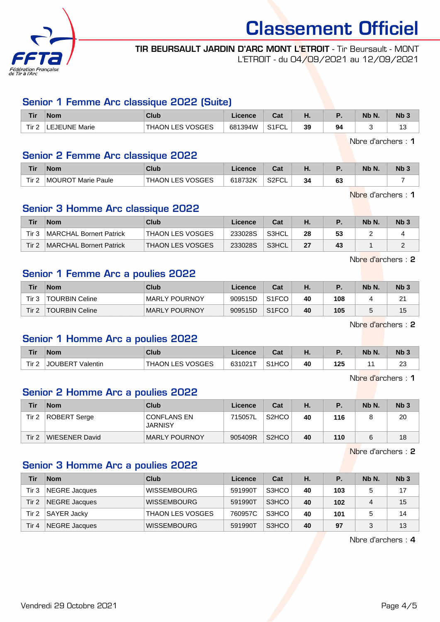

#### TIR BEURSAULT JARDIN D'ARC MONT L'ETROIT - Tir Beursault - MONT L'ETROIT - du 04/09/2021 au 12/09/2021

#### Senior 1 Femme Arc classique 2022 (Suite)

| <b>Tir</b>       | <b>Nom</b>           | Club                    | Licence | $\sim$<br>ual | п. |    | Nb N. | Nb <sub>3</sub>      |
|------------------|----------------------|-------------------------|---------|---------------|----|----|-------|----------------------|
| Tir <sub>2</sub> | <b>LEJEUNE Marie</b> | <b>THAON LES VOSGES</b> | 681394W | S1FCL         | 39 | 94 |       | $\overline{ }$<br>ں، |

Nbre d'archers : 1

#### Senior 2 Femme Arc classique 2022

| <b>Tir</b>       | <b>Nom</b>         | Club                    | .icence | יה<br>val          | п. |           | Nb N. | Nb <sub>3</sub> |
|------------------|--------------------|-------------------------|---------|--------------------|----|-----------|-------|-----------------|
| Tir <sub>2</sub> | MOUROT Marie Paule | <b>THAON LES VOSGES</b> | 618732K | S <sub>2</sub> FCL | 34 | r n<br>სა |       |                 |

Nbre d'archers : 1

## Senior 3 Homme Arc classique 2022

| Tir      | <b>Nom</b>                      | Club                | Licence | Cat   |    |    | Nb N. | Nb <sub>3</sub> |
|----------|---------------------------------|---------------------|---------|-------|----|----|-------|-----------------|
| $T$ ir 3 | <b>MARCHAL Bornert Patrick</b>  | THAON LES VOSGES    | 233028S | S3HCL | 28 | 53 |       |                 |
| Tir 2    | <b>IMARCHAL Bornert Patrick</b> | 'THAON LES VOSGES ∖ | 233028S | S3HCL |    | 43 |       |                 |

Nbre d'archers : 2

#### Senior 1 Femme Arc a poulies 2022

| Tir      | <b>Nom</b>            | Club          | Licence | Cat                | п. |     | Nb N. | Nb <sub>3</sub> |
|----------|-----------------------|---------------|---------|--------------------|----|-----|-------|-----------------|
| Tir 3    | <b>TOURBIN Celine</b> | MARLY POURNOY | 909515D | S <sub>1</sub> FCO | 40 | 108 |       | 21              |
| Tir $25$ | <b>TOURBIN Celine</b> | MARLY POURNOY | 909515D | S <sub>1</sub> FCO | 40 | 105 |       | 15              |

Nbre d'archers : 2

#### Senior 1 Homme Arc a poulies 2022

| <b>Tir</b> | <b>Nom</b>       | Club                    | .icence | $\sim$<br>sau      | m. | . . | Nb N. | Nb <sub>3</sub> |
|------------|------------------|-------------------------|---------|--------------------|----|-----|-------|-----------------|
| Tir $2$    | JOUBERT Valentin | <b>THAON LES VOSGES</b> | 6310217 | S <sub>1</sub> HCO | 40 | 125 |       | ົດ<br>د∠        |

Nbre d'archers : 1

#### Senior 2 Homme Arc a poulies 2022

| Tir   | <b>Nom</b>     | Club                                 | Licence | Cat                | Н. | Р   | Nb N. | Nb <sub>3</sub> |
|-------|----------------|--------------------------------------|---------|--------------------|----|-----|-------|-----------------|
| Tir 2 | ROBERT Serge   | <b>CONFLANS EN</b><br><b>JARNISY</b> | 715057L | S <sub>2</sub> HCO | 40 | 116 |       | 20              |
| Tir 2 | WIESENER David | MARLY POURNOY                        | 905409R | S <sub>2</sub> HCO | 40 | 110 | 6     | 18              |

Nbre d'archers : 2

#### Senior 3 Homme Arc a poulies 2022

| Tir   | <b>Nom</b>    | Club                    | Licence | Cat   | Н. | Р.  | Nb N. | Nb <sub>3</sub> |
|-------|---------------|-------------------------|---------|-------|----|-----|-------|-----------------|
| Tir 3 | NEGRE Jacques | <b>WISSEMBOURG</b>      | 591990T | S3HCO | 40 | 103 | 5     | 17              |
| Tir 2 | NEGRE Jacques | <b>WISSEMBOURG</b>      | 591990T | S3HCO | 40 | 102 | 4     | 15              |
| Tir 2 | SAYER Jacky   | <b>THAON LES VOSGES</b> | 760957C | S3HCO | 40 | 101 | 5     | 14              |
| Tir 4 | NEGRE Jacques | <b>WISSEMBOURG</b>      | 591990T | S3HCO | 40 | 97  |       | 13              |

Nbre d'archers : 4